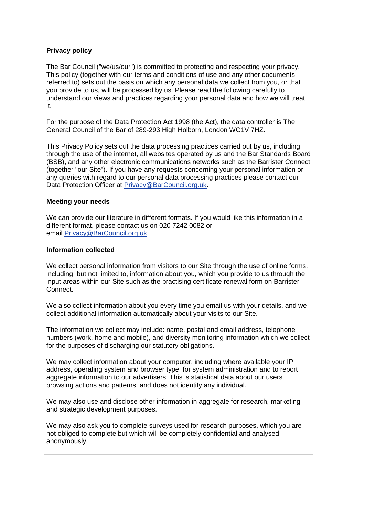# **Privacy policy**

The Bar Council ("we/us/our") is committed to protecting and respecting your privacy. This policy (together with our terms and conditions of use and any other documents referred to) sets out the basis on which any personal data we collect from you, or that you provide to us, will be processed by us. Please read the following carefully to understand our views and practices regarding your personal data and how we will treat it.

For the purpose of the Data Protection Act 1998 (the Act), the data controller is The General Council of the Bar of 289-293 High Holborn, London WC1V 7HZ.

This Privacy Policy sets out the data processing practices carried out by us, including through the use of the internet, all websites operated by us and the Bar Standards Board (BSB), and any other electronic communications networks such as the Barrister Connect (together "our Site"). If you have any requests concerning your personal information or any queries with regard to our personal data processing practices please contact our Data Protection Officer at [Privacy@BarCouncil.org.uk.](mailto:Privacy@BarCouncil.org.uk)

### **Meeting your needs**

We can provide our literature in different formats. If you would like this information in a different format, please contact us on 020 7242 0082 or email [Privacy@BarCouncil.org.uk.](mailto:Privacy@BarCouncil.org.uk)

### **Information collected**

We collect personal information from visitors to our Site through the use of online forms, including, but not limited to, information about you, which you provide to us through the input areas within our Site such as the practising certificate renewal form on Barrister Connect.

We also collect information about you every time you email us with your details, and we collect additional information automatically about your visits to our Site.

The information we collect may include: name, postal and email address, telephone numbers (work, home and mobile), and diversity monitoring information which we collect for the purposes of discharging our statutory obligations.

We may collect information about your computer, including where available your IP address, operating system and browser type, for system administration and to report aggregate information to our advertisers. This is statistical data about our users' browsing actions and patterns, and does not identify any individual.

We may also use and disclose other information in aggregate for research, marketing and strategic development purposes.

We may also ask you to complete surveys used for research purposes, which you are not obliged to complete but which will be completely confidential and analysed anonymously.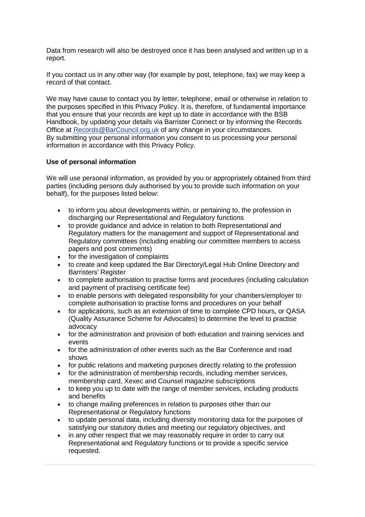Data from research will also be destroyed once it has been analysed and written up in a report.

If you contact us in any other way (for example by post, telephone, fax) we may keep a record of that contact.

We may have cause to contact you by letter, telephone, email or otherwise in relation to the purposes specified in this Privacy Policy. It is, therefore, of fundamental importance that you ensure that your records are kept up to date in accordance with the BSB Handbook, by updating your details via Barrister Connect or by informing the Records Office at [Records@BarCouncil.org.uk](mailto:Records@BarCouncil.org.uk) of any change in your circumstances. By submitting your personal information you consent to us processing your personal information in accordance with this Privacy Policy.

# **Use of personal information**

We will use personal information, as provided by you or appropriately obtained from third parties (including persons duly authorised by you to provide such information on your behalf), for the purposes listed below:

- to inform you about developments within, or pertaining to, the profession in discharging our Representational and Regulatory functions
- to provide guidance and advice in relation to both Representational and Regulatory matters for the management and support of Representational and Regulatory committees (including enabling our committee members to access papers and post comments)
- for the investigation of complaints
- to create and keep updated the Bar Directory/Legal Hub Online Directory and Barristers' Register
- to complete authorisation to practise forms and procedures (including calculation and payment of practising certificate fee)
- to enable persons with delegated responsibility for your chambers/employer to complete authorisation to practise forms and procedures on your behalf
- for applications, such as an extension of time to complete CPD hours, or QASA (Quality Assurance Scheme for Advocates) to determine the level to practise advocacy
- for the administration and provision of both education and training services and events
- for the administration of other events such as the Bar Conference and road shows
- for public relations and marketing purposes directly relating to the profession
- for the administration of membership records, including member services, membership card, Xexec and Counsel magazine subscriptions
- to keep you up to date with the range of member services, including products and benefits
- to change mailing preferences in relation to purposes other than our Representational or Regulatory functions
- to update personal data, including diversity monitoring data for the purposes of satisfying our statutory duties and meeting our regulatory objectives, and
- in any other respect that we may reasonably require in order to carry out Representational and Regulatory functions or to provide a specific service requested.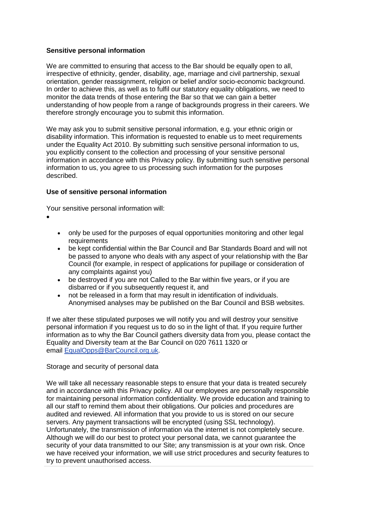# **Sensitive personal information**

We are committed to ensuring that access to the Bar should be equally open to all, irrespective of ethnicity, gender, disability, age, marriage and civil partnership, sexual orientation, gender reassignment, religion or belief and/or socio-economic background. In order to achieve this, as well as to fulfil our statutory equality obligations, we need to monitor the data trends of those entering the Bar so that we can gain a better understanding of how people from a range of backgrounds progress in their careers. We therefore strongly encourage you to submit this information.

We may ask you to submit sensitive personal information, e.g. your ethnic origin or disability information. This information is requested to enable us to meet requirements under the Equality Act 2010. By submitting such sensitive personal information to us, you explicitly consent to the collection and processing of your sensitive personal information in accordance with this Privacy policy. By submitting such sensitive personal information to us, you agree to us processing such information for the purposes described.

# **Use of sensitive personal information**

Your sensitive personal information will:

- •
- only be used for the purposes of equal opportunities monitoring and other legal requirements
- be kept confidential within the Bar Council and Bar Standards Board and will not be passed to anyone who deals with any aspect of your relationship with the Bar Council (for example, in respect of applications for pupillage or consideration of any complaints against you)
- be destroyed if you are not Called to the Bar within five years, or if you are disbarred or if you subsequently request it, and
- not be released in a form that may result in identification of individuals. Anonymised analyses may be published on the Bar Council and BSB websites.

If we alter these stipulated purposes we will notify you and will destroy your sensitive personal information if you request us to do so in the light of that. If you require further information as to why the Bar Council gathers diversity data from you, please contact the Equality and Diversity team at the Bar Council on 020 7611 1320 or email [EqualOpps@BarCouncil.org.uk.](mailto:EqualOpps@BarCouncil.org.uk)

# Storage and security of personal data

We will take all necessary reasonable steps to ensure that your data is treated securely and in accordance with this Privacy policy. All our employees are personally responsible for maintaining personal information confidentiality. We provide education and training to all our staff to remind them about their obligations. Our policies and procedures are audited and reviewed. All information that you provide to us is stored on our secure servers. Any payment transactions will be encrypted (using SSL technology). Unfortunately, the transmission of information via the internet is not completely secure. Although we will do our best to protect your personal data, we cannot guarantee the security of your data transmitted to our Site; any transmission is at your own risk. Once we have received your information, we will use strict procedures and security features to try to prevent unauthorised access.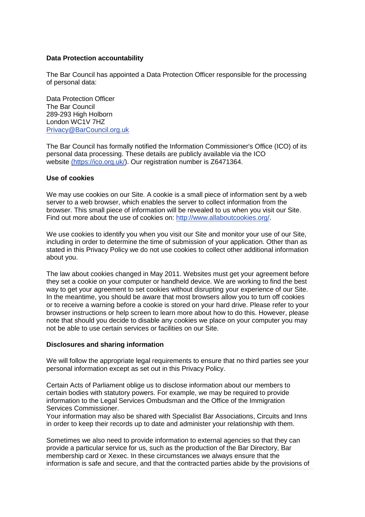### **Data Protection accountability**

The Bar Council has appointed a Data Protection Officer responsible for the processing of personal data:

Data Protection Officer The Bar Council 289-293 High Holborn London WC1V 7HZ [Privacy@BarCouncil.org.uk](mailto:Privacy@BarCouncil.org.uk)

The Bar Council has formally notified the Information Commissioner's Office (ICO) of its personal data processing. These details are publicly available via the ICO website [\(https://ico.org.uk/\)](https://ico.org.uk/). Our registration number is Z6471364.

#### **Use of cookies**

We may use cookies on our Site. A cookie is a small piece of information sent by a web server to a web browser, which enables the server to collect information from the browser. This small piece of information will be revealed to us when you visit our Site. Find out more about the use of cookies on: [http://www.allaboutcookies.org/.](http://www.allaboutcookies.org/)

We use cookies to identify you when you visit our Site and monitor your use of our Site, including in order to determine the time of submission of your application. Other than as stated in this Privacy Policy we do not use cookies to collect other additional information about you.

The law about cookies changed in May 2011. Websites must get your agreement before they set a cookie on your computer or handheld device. We are working to find the best way to get your agreement to set cookies without disrupting your experience of our Site. In the meantime, you should be aware that most browsers allow you to turn off cookies or to receive a warning before a cookie is stored on your hard drive. Please refer to your browser instructions or help screen to learn more about how to do this. However, please note that should you decide to disable any cookies we place on your computer you may not be able to use certain services or facilities on our Site.

#### **Disclosures and sharing information**

We will follow the appropriate legal requirements to ensure that no third parties see your personal information except as set out in this Privacy Policy.

Certain Acts of Parliament oblige us to disclose information about our members to certain bodies with statutory powers. For example, we may be required to provide information to the Legal Services Ombudsman and the Office of the Immigration Services Commissioner.

Your information may also be shared with Specialist Bar Associations, Circuits and Inns in order to keep their records up to date and administer your relationship with them.

Sometimes we also need to provide information to external agencies so that they can provide a particular service for us, such as the production of the Bar Directory, Bar membership card or Xexec. In these circumstances we always ensure that the information is safe and secure, and that the contracted parties abide by the provisions of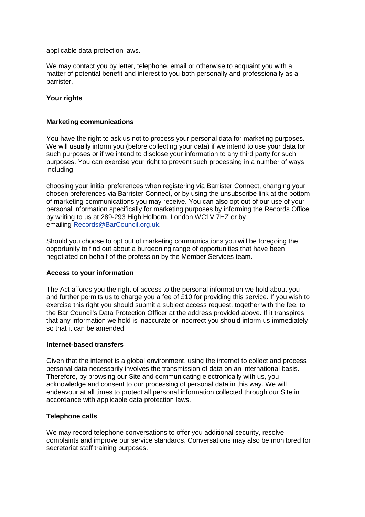applicable data protection laws.

We may contact you by letter, telephone, email or otherwise to acquaint you with a matter of potential benefit and interest to you both personally and professionally as a barrister.

### **Your rights**

### **Marketing communications**

You have the right to ask us not to process your personal data for marketing purposes. We will usually inform you (before collecting your data) if we intend to use your data for such purposes or if we intend to disclose your information to any third party for such purposes. You can exercise your right to prevent such processing in a number of ways including:

choosing your initial preferences when registering via Barrister Connect, changing your chosen preferences via Barrister Connect, or by using the unsubscribe link at the bottom of marketing communications you may receive. You can also opt out of our use of your personal information specifically for marketing purposes by informing the Records Office by writing to us at 289-293 High Holborn, London WC1V 7HZ or by emailing [Records@BarCouncil.org.uk.](mailto:Records@BarCouncil.org.uk)

Should you choose to opt out of marketing communications you will be foregoing the opportunity to find out about a burgeoning range of opportunities that have been negotiated on behalf of the profession by the Member Services team.

# **Access to your information**

The Act affords you the right of access to the personal information we hold about you and further permits us to charge you a fee of £10 for providing this service. If you wish to exercise this right you should submit a subject access request, together with the fee, to the Bar Council's Data Protection Officer at the address provided above. If it transpires that any information we hold is inaccurate or incorrect you should inform us immediately so that it can be amended.

#### **Internet-based transfers**

Given that the internet is a global environment, using the internet to collect and process personal data necessarily involves the transmission of data on an international basis. Therefore, by browsing our Site and communicating electronically with us, you acknowledge and consent to our processing of personal data in this way. We will endeavour at all times to protect all personal information collected through our Site in accordance with applicable data protection laws.

# **Telephone calls**

We may record telephone conversations to offer you additional security, resolve complaints and improve our service standards. Conversations may also be monitored for secretariat staff training purposes.